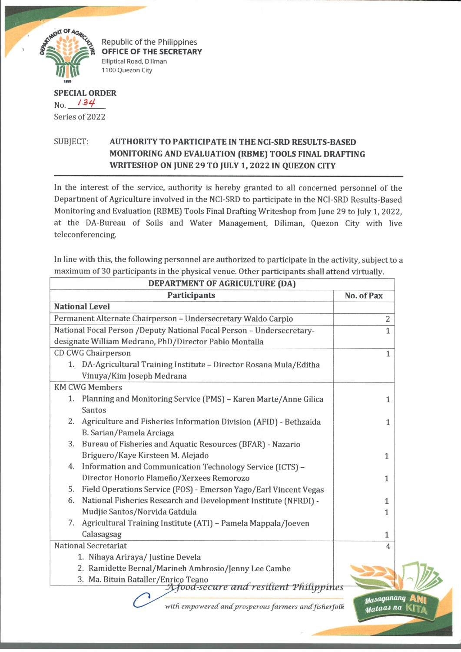

Republic of the Philippines **OFFICE OF THE SECRETARY** Elliptical Road, Diliman 1100 Quezon City

## **SPECIAL ORDER** No. 134 Series of 2022

## SUBJECT: **AUTHORITY TO PARTICIPATE IN THE NCI-SRD RESULTS-BASED MONITORING AND EVALUATION (RBME) TOOLS FINAL DRAFTING WRITESHOP ON JUNE 29 TO JULY 1, 2022 IN QUEZON CITY**

In the interest of the service, authority is hereby granted to all concerned personnel of the Department of Agriculture involved in the NCI-SRD to participate in the NCI-SRD Results-Based Monitoring and Evaluation (RBME) Tools Final Drafting Writeshop from June 29 to July 1, 2022, at the DA-Bureau of Soils and Water Management, Diliman, Quezon City with live teleconferencing.

In line with this, the following personnel are authorized to participate in the activity, subject to a maximum of 30 participants in the physical venue. Other participants shall attend virtually.

| DEPARTMENT OF AGRICULTURE (DA)                                          |                          |  |
|-------------------------------------------------------------------------|--------------------------|--|
| <b>Participants</b>                                                     | No. of Pax               |  |
| <b>National Level</b>                                                   |                          |  |
| Permanent Alternate Chairperson - Undersecretary Waldo Carpio           | $\overline{c}$           |  |
| National Focal Person /Deputy National Focal Person - Undersecretary-   | $\mathbf{1}$             |  |
| designate William Medrano, PhD/Director Pablo Montalla                  |                          |  |
| CD CWG Chairperson                                                      | $\mathbf{1}$             |  |
| DA-Agricultural Training Institute - Director Rosana Mula/Editha<br>1.  |                          |  |
| Vinuya/Kim Joseph Medrana                                               |                          |  |
| <b>KM CWG Members</b>                                                   |                          |  |
| 1. Planning and Monitoring Service (PMS) - Karen Marte/Anne Gilica      | 1                        |  |
| Santos                                                                  |                          |  |
| 2.<br>Agriculture and Fisheries Information Division (AFID) - Bethzaida | 1                        |  |
| B. Sarian/Pamela Arciaga                                                |                          |  |
| Bureau of Fisheries and Aquatic Resources (BFAR) - Nazario<br>3.        |                          |  |
| Briguero/Kaye Kirsteen M. Alejado                                       | 1                        |  |
| Information and Communication Technology Service (ICTS) -<br>4.         |                          |  |
| Director Honorio Flameño/Xerxees Remorozo                               | $\mathbf{1}$             |  |
| Field Operations Service (FOS) - Emerson Yago/Earl Vincent Vegas<br>5.  |                          |  |
| National Fisheries Research and Development Institute (NFRDI) -<br>6.   | 1                        |  |
| Mudjie Santos/Norvida Gatdula                                           | $\mathbf{1}$             |  |
| Agricultural Training Institute (ATI) - Pamela Mappala/Joeven<br>7.     |                          |  |
| Calasagsag                                                              | $\mathbf{1}$             |  |
| <b>National Secretariat</b>                                             | $\overline{4}$           |  |
| 1. Nihaya Ariraya/ Justine Devela                                       |                          |  |
| 2. Ramidette Bernal/Marineh Ambrosio/Jenny Lee Cambe                    |                          |  |
| 3. Ma. Bituin Bataller/Enrico Teano                                     |                          |  |
| A food-secure and resilient Philippines                                 |                          |  |
| with empowered and prosperous farmers and fisherfolk                    | stasaganang<br>Mataas na |  |
|                                                                         |                          |  |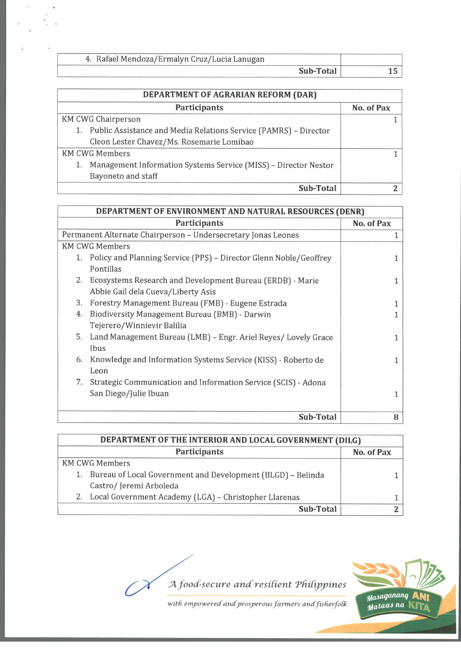| 4. Rafael Mendoza/Ermalyn Cruz/Lucia Lanugan |           |  |
|----------------------------------------------|-----------|--|
|                                              | Sub-Total |  |

| DEPARTMENT OF AGRARIAN REFORM (DAR) |                                                                     |            |
|-------------------------------------|---------------------------------------------------------------------|------------|
|                                     | Participants                                                        | No. of Pax |
|                                     | <b>KM CWG Chairperson</b>                                           |            |
|                                     | 1. Public Assistance and Media Relations Service (PAMRS) - Director |            |
|                                     | Cleon Lester Chavez/Ms. Rosemarie Lomibao                           |            |
|                                     | <b>KM CWG Members</b>                                               |            |
|                                     | Management Information Systems Service (MISS) - Director Nestor     |            |
|                                     | Bayoneto and staff                                                  |            |
|                                     | <b>Sub-Total</b>                                                    |            |

| DEPARTMENT OF ENVIRONMENT AND NATURAL RESOURCES (DENR) |                                                                   |            |
|--------------------------------------------------------|-------------------------------------------------------------------|------------|
|                                                        | <b>Participants</b>                                               | No. of Pax |
|                                                        | Permanent Alternate Chairperson - Undersecretary Jonas Leones     |            |
|                                                        | <b>KM CWG Members</b>                                             |            |
|                                                        | Policy and Planning Service (PPS) – Director Glenn Noble/Geoffrey |            |
|                                                        | Pontillas                                                         |            |
|                                                        | 2. Ecosystems Research and Development Bureau (ERDB) - Marie      |            |
|                                                        | Abbie Gail dela Cueva/Liberty Asis                                |            |
| 3.                                                     | Forestry Management Bureau (FMB) - Eugene Estrada                 |            |
| 4.                                                     | Biodiversity Management Bureau (BMB) - Darwin                     |            |
|                                                        | Tejerero/Winnievir Balilia                                        |            |
| 5.                                                     | Land Management Bureau (LMB) - Engr. Ariel Reyes/ Lovely Grace    |            |
|                                                        | Ibus                                                              |            |
| 6.                                                     | Knowledge and Information Systems Service (KISS) - Roberto de     |            |
|                                                        | Leon                                                              |            |
| 7.                                                     | Strategic Communication and Information Service (SCIS) - Adona    |            |
|                                                        | San Diego/Julie Ibuan                                             |            |
|                                                        |                                                                   |            |
|                                                        | Sub-Total                                                         | 8          |

| DEPARTMENT OF THE INTERIOR AND LOCAL GOVERNMENT (DILG) |                                                                |            |
|--------------------------------------------------------|----------------------------------------------------------------|------------|
|                                                        | <b>Participants</b>                                            | No. of Pax |
|                                                        | <b>KM CWG Members</b>                                          |            |
|                                                        | 1. Bureau of Local Government and Development (BLGD) - Belinda |            |
|                                                        | Castro/Jeremi Arboleda                                         |            |
|                                                        | 2. Local Government Academy (LGA) - Christopher Llarenas       |            |
|                                                        | Sub-Total                                                      |            |

*A food-secure and resilient Philippines* 



with empowered and prosperous farmers and fisherfolk